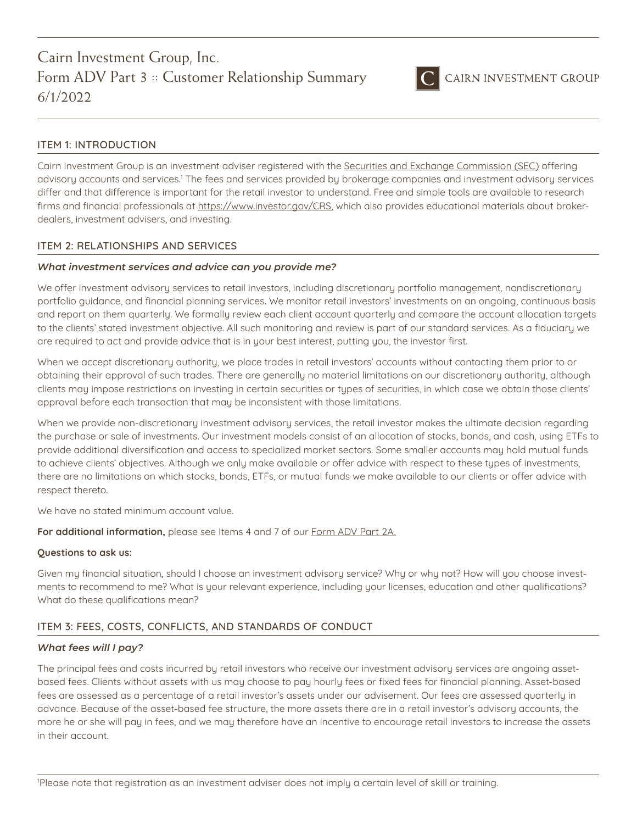

## ITEM 1: INTRODUCTION

Cairn Investment Group is an investment adviser registered with the [Securities and Exchange Commission \(SEC\)](https://www.sec.gov/) offering advisory accounts and services.<sup>1</sup> The fees and services provided by brokerage companies and investment advisory services differ and that difference is important for the retail investor to understand. Free and simple tools are available to research firms and financial professionals at [https://www.investor.gov/CRS,](https://www.investor.gov/CRS) which also provides educational materials about brokerdealers, investment advisers, and investing.

### ITEM 2: RELATIONSHIPS AND SERVICES

### *What investment services and advice can you provide me?*

We offer investment advisory services to retail investors, including discretionary portfolio management, nondiscretionary portfolio guidance, and financial planning services. We monitor retail investors' investments on an ongoing, continuous basis and report on them quarterly. We formally review each client account quarterly and compare the account allocation targets to the clients' stated investment objective. All such monitoring and review is part of our standard services. As a fiduciary we are required to act and provide advice that is in your best interest, putting you, the investor first.

When we accept discretionary authority, we place trades in retail investors' accounts without contacting them prior to or obtaining their approval of such trades. There are generally no material limitations on our discretionary authority, although clients may impose restrictions on investing in certain securities or types of securities, in which case we obtain those clients' approval before each transaction that may be inconsistent with those limitations.

When we provide non-discretionary investment advisory services, the retail investor makes the ultimate decision regarding the purchase or sale of investments. Our investment models consist of an allocation of stocks, bonds, and cash, using ETFs to provide additional diversification and access to specialized market sectors. Some smaller accounts may hold mutual funds to achieve clients' objectives. Although we only make available or offer advice with respect to these types of investments, there are no limitations on which stocks, bonds, ETFs, or mutual funds we make available to our clients or offer advice with respect thereto.

We have no stated minimum account value.

For additional information, please see Items 4 and 7 of our **Form ADV Part 2A**.

#### **Questions to ask us:**

Given my financial situation, should I choose an investment advisory service? Why or why not? How will you choose investments to recommend to me? What is your relevant experience, including your licenses, education and other qualifications? What do these qualifications mean?

## ITEM 3: FEES, COSTS, CONFLICTS, AND STANDARDS OF CONDUCT

#### *What fees will I pay?*

The principal fees and costs incurred by retail investors who receive our investment advisory services are ongoing assetbased fees. Clients without assets with us may choose to pay hourly fees or fixed fees for financial planning. Asset-based fees are assessed as a percentage of a retail investor's assets under our advisement. Our fees are assessed quarterly in advance. Because of the asset-based fee structure, the more assets there are in a retail investor's advisory accounts, the more he or she will pay in fees, and we may therefore have an incentive to encourage retail investors to increase the assets in their account.